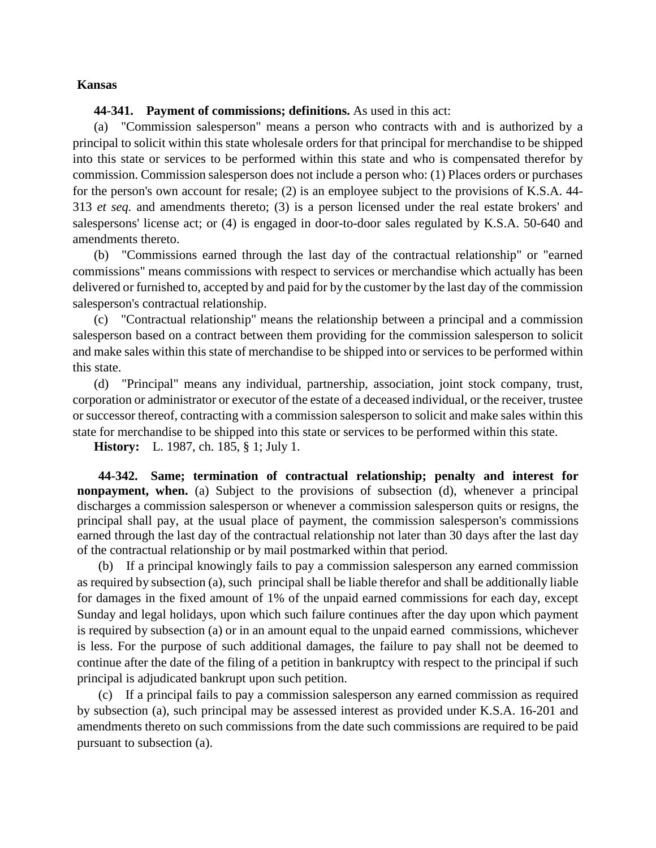## **Kansas**

## **44-341. Payment of commissions; definitions.** As used in this act:

(a) "Commission salesperson" means a person who contracts with and is authorized by a principal to solicit within this state wholesale orders for that principal for merchandise to be shipped into this state or services to be performed within this state and who is compensated therefor by commission. Commission salesperson does not include a person who: (1) Places orders or purchases for the person's own account for resale; (2) is an employee subject to the provisions of K.S.A. 44- 313 *et seq.* and amendments thereto; (3) is a person licensed under the real estate brokers' and salespersons' license act; or (4) is engaged in door-to-door sales regulated by K.S.A. 50-640 and amendments thereto.

(b) "Commissions earned through the last day of the contractual relationship" or "earned commissions" means commissions with respect to services or merchandise which actually has been delivered or furnished to, accepted by and paid for by the customer by the last day of the commission salesperson's contractual relationship.

(c) "Contractual relationship" means the relationship between a principal and a commission salesperson based on a contract between them providing for the commission salesperson to solicit and make sales within this state of merchandise to be shipped into or services to be performed within this state.

(d) "Principal" means any individual, partnership, association, joint stock company, trust, corporation or administrator or executor of the estate of a deceased individual, or the receiver, trustee or successor thereof, contracting with a commission salesperson to solicit and make sales within this state for merchandise to be shipped into this state or services to be performed within this state.

**History:** L. 1987, ch. 185, § 1; July 1.

**44-342. Same; termination of contractual relationship; penalty and interest for nonpayment, when.** (a) Subject to the provisions of subsection (d), whenever a principal discharges a commission salesperson or whenever a commission salesperson quits or resigns, the principal shall pay, at the usual place of payment, the commission salesperson's commissions earned through the last day of the contractual relationship not later than 30 days after the last day of the contractual relationship or by mail postmarked within that period.

(b) If a principal knowingly fails to pay a commission salesperson any earned commission as required by subsection (a), such principal shall be liable therefor and shall be additionally liable for damages in the fixed amount of 1% of the unpaid earned commissions for each day, except Sunday and legal holidays, upon which such failure continues after the day upon which payment is required by subsection (a) or in an amount equal to the unpaid earned commissions, whichever is less. For the purpose of such additional damages, the failure to pay shall not be deemed to continue after the date of the filing of a petition in bankruptcy with respect to the principal if such principal is adjudicated bankrupt upon such petition.

(c) If a principal fails to pay a commission salesperson any earned commission as required by subsection (a), such principal may be assessed interest as provided under K.S.A. 16-201 and amendments thereto on such commissions from the date such commissions are required to be paid pursuant to subsection (a).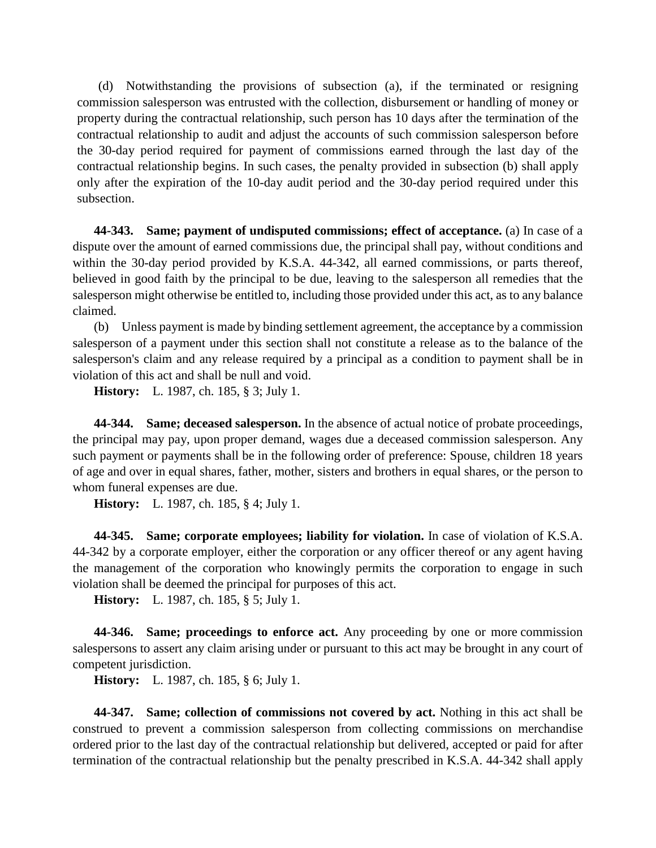(d) Notwithstanding the provisions of subsection (a), if the terminated or resigning commission salesperson was entrusted with the collection, disbursement or handling of money or property during the contractual relationship, such person has 10 days after the termination of the contractual relationship to audit and adjust the accounts of such commission salesperson before the 30-day period required for payment of commissions earned through the last day of the contractual relationship begins. In such cases, the penalty provided in subsection (b) shall apply only after the expiration of the 10-day audit period and the 30-day period required under this subsection.

**44-343. Same; payment of undisputed commissions; effect of acceptance.** (a) In case of a dispute over the amount of earned commissions due, the principal shall pay, without conditions and within the 30-day period provided by K.S.A. 44-342, all earned commissions, or parts thereof, believed in good faith by the principal to be due, leaving to the salesperson all remedies that the salesperson might otherwise be entitled to, including those provided under this act, as to any balance claimed.

(b) Unless payment is made by binding settlement agreement, the acceptance by a commission salesperson of a payment under this section shall not constitute a release as to the balance of the salesperson's claim and any release required by a principal as a condition to payment shall be in violation of this act and shall be null and void.

**History:** L. 1987, ch. 185, § 3; July 1.

**44-344. Same; deceased salesperson.** In the absence of actual notice of probate proceedings, the principal may pay, upon proper demand, wages due a deceased commission salesperson. Any such payment or payments shall be in the following order of preference: Spouse, children 18 years of age and over in equal shares, father, mother, sisters and brothers in equal shares, or the person to whom funeral expenses are due.

**History:** L. 1987, ch. 185, § 4; July 1.

**44-345. Same; corporate employees; liability for violation.** In case of violation of K.S.A. 44-342 by a corporate employer, either the corporation or any officer thereof or any agent having the management of the corporation who knowingly permits the corporation to engage in such violation shall be deemed the principal for purposes of this act.

**History:** L. 1987, ch. 185, § 5; July 1.

**44-346. Same; proceedings to enforce act.** Any proceeding by one or more commission salespersons to assert any claim arising under or pursuant to this act may be brought in any court of competent jurisdiction.

**History:** L. 1987, ch. 185, § 6; July 1.

**44-347. Same; collection of commissions not covered by act.** Nothing in this act shall be construed to prevent a commission salesperson from collecting commissions on merchandise ordered prior to the last day of the contractual relationship but delivered, accepted or paid for after termination of the contractual relationship but the penalty prescribed in K.S.A. 44-342 shall apply